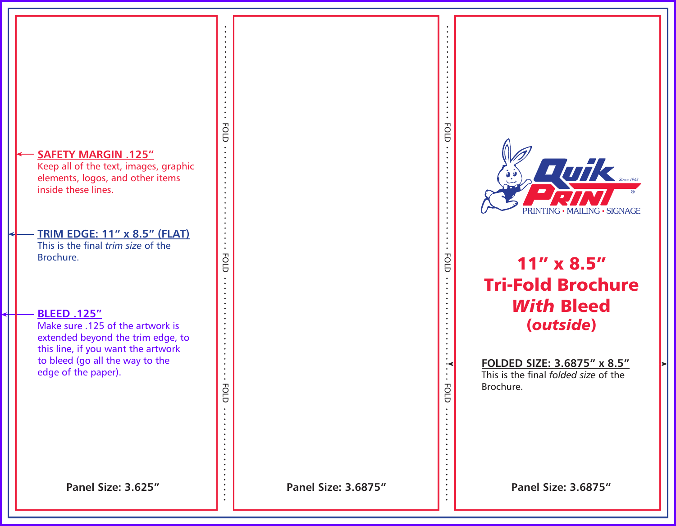## **SAFETY MARGIN .125"**

Keep all of the text, images, graphic elements, logos, and other items inside these lines.

#### **TRIM EDGE: 11" x 8.5" (FLAT)** This is the final *trim size* of the

FOLD FOLD FOLD

 $\bullet$ 

 $\bullet$  $\cdot$  FOLD

**FOLD** 

FOLD.

Brochure.

## **BLEED .125"**

Make sure .125 of the artwork is extended beyond the trim edge, to this line, if you want the artwork to bleed (go all the way to the edge of the paper).

 $\bullet$  $\bullet$ FOLD. FOLD FOLD FOLD  $T$  and  $\epsilon$  since 1963  $\bullet$  $\bullet$ MAILING · SIGNAGE **FOLD** 11" x 8.5" Tri-Fold Brochure  $\ddot{\cdot}$ *With* Bleed (*outside*) **FOLDED SIZE: 3.6875" x 8.5"**  $\cdots$  FOLD  $\cdots$ This is the final *folded size* of the Brochure.**Panel Size: 3.625" Panel Size: 3.6875" Panel Size: 3.6875"**